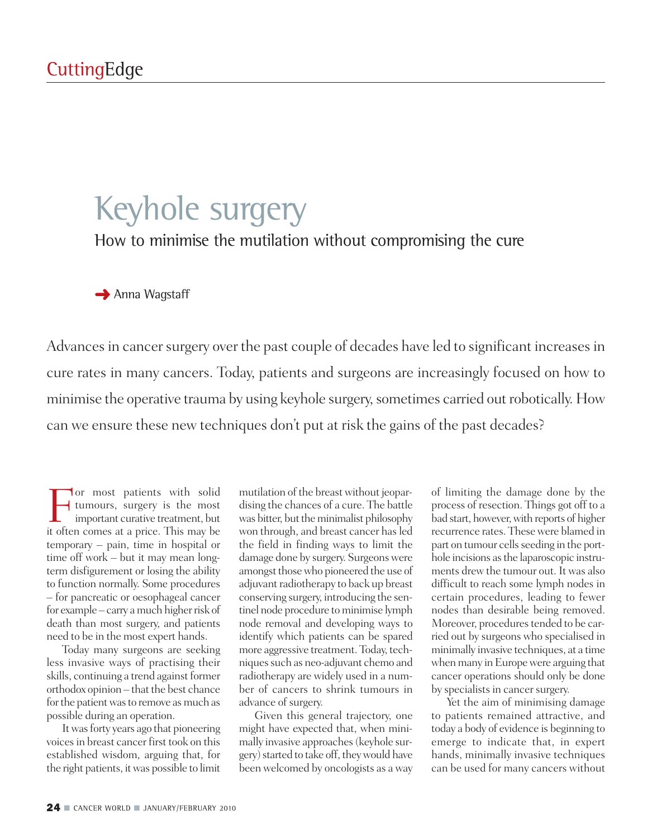### Keyhole surgery

How to minimise the mutilation without compromising the cure

**→** Anna Wagstaff

Advances in cancer surgery over the past couple of decades have led to significant increases in cure rates in many cancers. Today, patients and surgeons are increasingly focused on how to minimise the operative trauma by using keyhole surgery, sometimes carried out robotically. How can we ensure these new techniques don't put at risk the gains of the past decades?

For most patients with solid<br>tumours, surgery is the most<br>important curative treatment, but<br>it often comes at a price. This may be tumours, surgery is the most important curative treatment, but it often comes at a price. This may be temporary – pain, time in hospital or time off work – but it may mean longterm disfigurement or losing the ability to function normally. Some procedures – for pancreatic or oesophageal cancer for example – carry a much higher risk of death than most surgery, and patients need to be in the most expert hands.

Today many surgeons are seeking less invasive ways of practising their skills, continuing a trend against former orthodox opinion – that the best chance for the patient was to remove as much as possible during an operation.

It was forty years ago that pioneering voicesin breast cancer first took on this established wisdom, arguing that, for the right patients, itwas possible to limit

mutilation of the breast without jeopardising the chances of a cure. The battle was bitter, but the minimalist philosophy won through, and breast cancer has led the field in finding ways to limit the damage done by surgery. Surgeonswere amongst those who pioneered the use of adjuvant radiotherapy to back up breast conserving surgery, introducing the sentinel node procedure to minimise lymph node removal and developing ways to identify which patients can be spared more aggressive treatment. Today, techniques such as neo-adjuvant chemo and radiotherapy are widely used in a number of cancers to shrink tumours in advance of surgery.

Given this general trajectory, one might have expected that, when minimally invasive approaches(keyhole surgery) started to take off, they would have been welcomed by oncologists as a way

of limiting the damage done by the process of resection. Things got off to a bad start, however, with reports of higher recurrence rates. Thesewere blamed in part on tumour cells seeding in the porthole incisions asthe laparoscopic instruments drew the tumour out. It was also difficult to reach some lymph nodes in certain procedures, leading to fewer nodes than desirable being removed. Moreover, procedures tended to be carried out by surgeons who specialised in minimally invasive techniques, at a time when many in Europe were arguing that cancer operations should only be done by specialists in cancer surgery.

Yet the aim of minimising damage to patients remained attractive, and today a body of evidence is beginning to emerge to indicate that, in expert hands, minimally invasive techniques can be used for many cancers without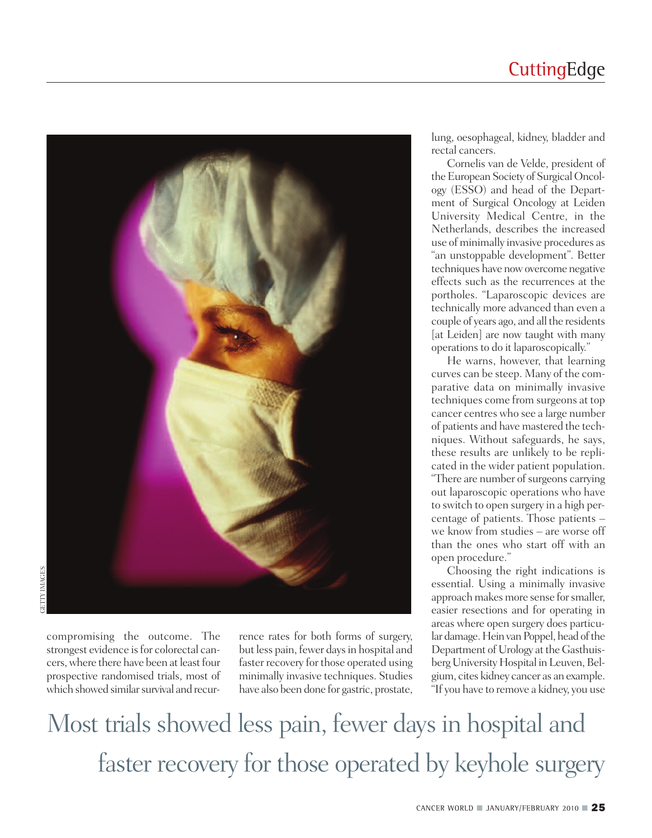### **CuttingEdge**



compromising the outcome. The strongest evidence is for colorectal cancers, where there have been at least four prospective randomised trials, most of which showed similar survival and recurrence rates for both forms of surgery, but less pain, fewer days in hospital and faster recovery for those operated using minimally invasive techniques. Studies have also been done for gastric, prostate,

lung, oesophageal, kidney, bladder and rectal cancers.

Cornelis van de Velde, president of the European Society of Surgical Oncology (ESSO) and head of the Department of Surgical Oncology at Leiden University Medical Centre, in the Netherlands, describes the increased use of minimally invasive procedures as "an unstoppable development". Better techniques have nowovercome negative effects such as the recurrences at the portholes. "Laparoscopic devices are technically more advanced than even a couple of years ago, and all the residents [at Leiden] are now taught with many operations to do it laparoscopically."

He warns, however, that learning curves can be steep. Many of the comparative data on minimally invasive techniques come from surgeons at top cancer centres who see a large number of patients and have mastered the techniques. Without safeguards, he says, these results are unlikely to be replicated in the wider patient population. "There are number of surgeons carrying out laparoscopic operations who have to switch to open surgery in a high percentage of patients. Those patients – we know from studies – are worse off than the ones who start off with an open procedure."

Choosing the right indications is essential. Using a minimally invasive approach makes more sense for smaller, easier resections and for operating in areas where open surgery does particular damage. Hein van Poppel, head of the Department of Urology at the Gasthuisberg University Hospital in Leuven, Belgium, cites kidney cancer as an example. "If you have to remove a kidney, you use

Most trials showed less pain, fewer days in hospital and faster recovery for those operated by keyhole surgery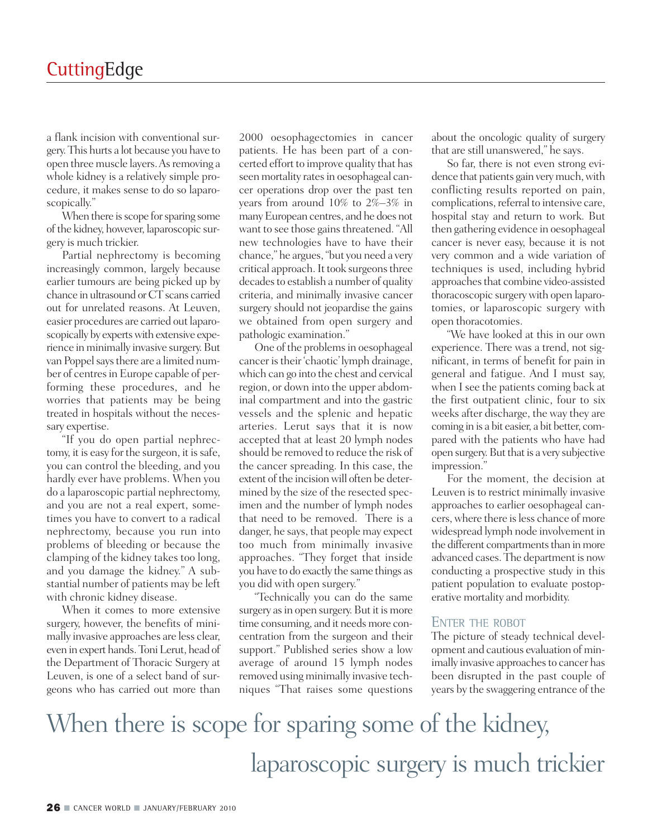a flank incision with conventional surgery.This hurts a lot because you have to open three muscle layers. As removing a whole kidney is a relatively simple procedure, it makes sense to do so laparoscopically."

When there is scope for sparing some of the kidney, however, laparoscopic surgery is much trickier.

Partial nephrectomy is becoming increasingly common, largely because earlier tumours are being picked up by chance in ultrasound or CT scans carried out for unrelated reasons. At Leuven, easier procedures are carried out laparoscopically by experts with extensive experience in minimally invasive surgery. But van Poppel says there are a limited number of centres in Europe capable of performing these procedures, and he worries that patients may be being treated in hospitals without the necessary expertise.

"If you do open partial nephrectomy, it is easy for the surgeon, it is safe, you can control the bleeding, and you hardly ever have problems. When you do a laparoscopic partial nephrectomy, and you are not a real expert, sometimes you have to convert to a radical nephrectomy, because you run into problems of bleeding or because the clamping of the kidney takes too long, and you damage the kidney." A substantial number of patients may be left with chronic kidney disease.

When it comes to more extensive surgery, however, the benefits of minimally invasive approaches are less clear, even in expert hands.ToniLerut, head of the Department of Thoracic Surgery at Leuven, is one of a select band of surgeons who has carried out more than

2000 oesophagectomies in cancer patients. He has been part of a concerted effort to improve quality that has seen mortality rates in oesophageal cancer operations drop over the past ten years from around 10% to 2%–3% in manyEuropean centres, and he does not want to see those gains threatened. "All new technologies have to have their chance," he argues,"but you need a very critical approach. It took surgeons three decades to establish a number of quality criteria, and minimally invasive cancer surgery should not jeopardise the gains we obtained from open surgery and pathologic examination."

One of the problems in oesophageal cancer istheir 'chaotic'lymph drainage, which can go into the chest and cervical region, or down into the upper abdominal compartment and into the gastric vessels and the splenic and hepatic arteries. Lerut says that it is now accepted that at least 20 lymph nodes should be removed to reduce the risk of the cancer spreading. In this case, the extent of the incision will often be determined by the size of the resected specimen and the number of lymph nodes that need to be removed. There is a danger, he says, that people may expect too much from minimally invasive approaches. "They forget that inside you have to do exactly the same things as you did with open surgery."

"Technically you can do the same surgery as in open surgery. But it is more time consuming, and it needs more concentration from the surgeon and their support." Published series show a low average of around 15 lymph nodes removed using minimally invasive techniques "That raises some questions

about the oncologic quality of surgery that are still unanswered," he says.

So far, there is not even strong evidence that patients gain very much, with conflicting results reported on pain, complications, referral to intensive care, hospital stay and return to work. But then gathering evidence in oesophageal cancer is never easy, because it is not very common and a wide variation of techniques is used, including hybrid approaches that combine video-assisted thoracoscopic surgerywith open laparotomies, or laparoscopic surgery with open thoracotomies.

"We have looked at this in our own experience. There was a trend, not significant, in terms of benefit for pain in general and fatigue. And I must say, when I see the patients coming back at the first outpatient clinic, four to six weeks after discharge, the way they are coming in is a bit easier, a bit better, compared with the patients who have had open surgery. But that is a very subjective impression."

For the moment, the decision at Leuven is to restrict minimally invasive approaches to earlier oesophageal cancers,where there isless chance of more widespread lymph node involvement in the different compartments than in more advanced cases. The department is now conducting a prospective study in this patient population to evaluate postoperative mortality and morbidity.

#### ENTER THE ROBOT

The picture of steady technical development and cautious evaluation of minimally invasive approaches to cancer has been disrupted in the past couple of years by the swaggering entrance of the

## When there is scope for sparing some of the kidney, laparoscopic surgery is much trickier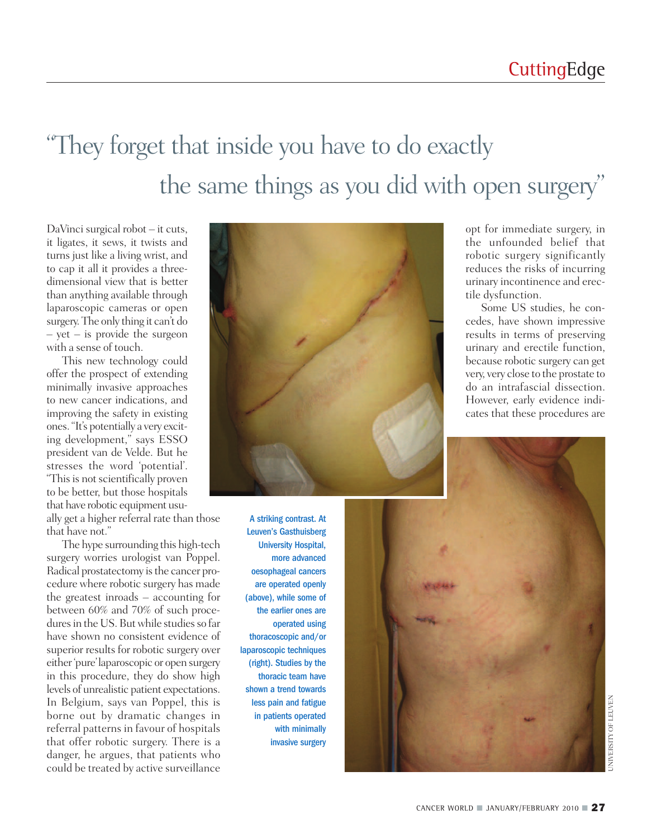# "They forget that inside you have to do exactly the same things as you did with open surgery"

DaVinci surgical robot – it cuts, it ligates, it sews, it twists and turns just like a living wrist, and to cap it all it provides a threedimensional view that is better than anything available through laparoscopic cameras or open surgery.The only thing it can't do  $-$  yet  $-$  is provide the surgeon with a sense of touch.

This new technology could offer the prospect of extending minimally invasive approaches to new cancer indications, and improving the safety in existing ones."It's potentially a very exciting development," says ESSO president van de Velde. But he stresses the word 'potential'. "This is not scientifically proven to be better, but those hospitals that have robotic equipment usually get a higher referral rate than those

that have not."

The hype surrounding this high-tech surgery worries urologist van Poppel. Radical prostatectomy is the cancer procedure where robotic surgery has made the greatest inroads – accounting for between 60% and 70% of such procedures in the US. But while studies so far have shown no consistent evidence of superior results for robotic surgery over either'pure'laparoscopic or open surgery in this procedure, they do show high levels of unrealistic patient expectations. In Belgium, says van Poppel, this is borne out by dramatic changes in referral patterns in favour of hospitals that offer robotic surgery. There is a danger, he argues, that patients who could be treated by active surveillance



A striking contrast. At Leuven's Gasthuisberg University Hospital, more advanced oesophageal cancers are operated openly (above), while some of the earlier ones are operated using thoracoscopic and/or laparoscopic techniques (right). Studies by the thoracic team have shown a trend towards less pain and fatigue in patients operated with minimally invasive surgery

opt for immediate surgery, in the unfounded belief that robotic surgery significantly reduces the risks of incurring urinary incontinence and erectile dysfunction.

Some US studies, he concedes, have shown impressive results in terms of preserving urinary and erectile function, because robotic surgery can get very, very close to the prostate to do an intrafascial dissection. However, early evidence indicates that these procedures are